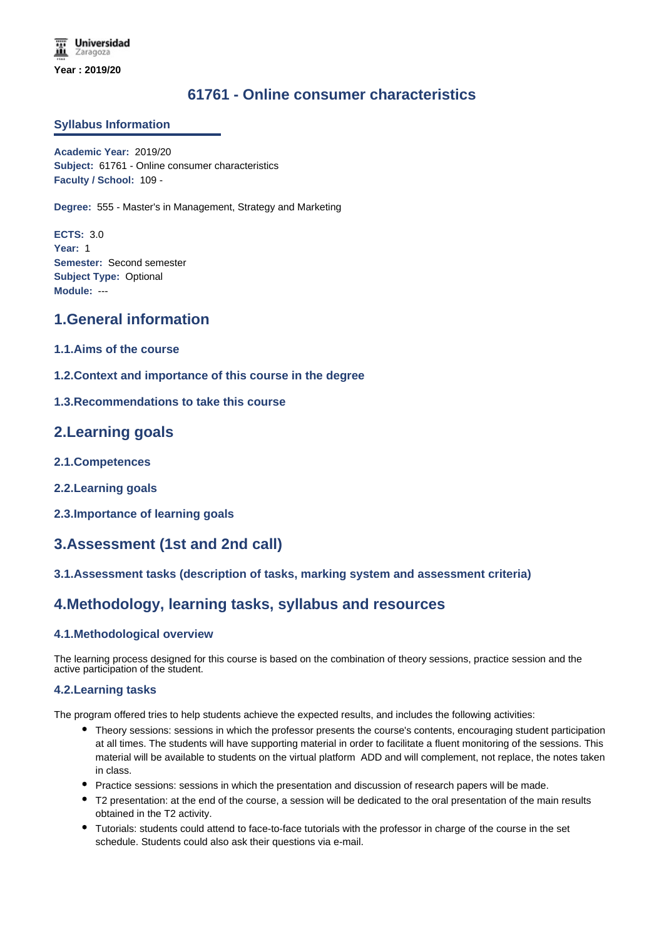# **61761 - Online consumer characteristics**

#### **Syllabus Information**

**Academic Year:** 2019/20 **Subject:** 61761 - Online consumer characteristics **Faculty / School:** 109 -

**Degree:** 555 - Master's in Management, Strategy and Marketing

**ECTS:** 3.0 **Year:** 1 **Semester:** Second semester **Subject Type:** Optional **Module:** ---

### **1.General information**

- **1.1.Aims of the course**
- **1.2.Context and importance of this course in the degree**
- **1.3.Recommendations to take this course**

### **2.Learning goals**

- **2.1.Competences**
- **2.2.Learning goals**
- **2.3.Importance of learning goals**

# **3.Assessment (1st and 2nd call)**

#### **3.1.Assessment tasks (description of tasks, marking system and assessment criteria)**

# **4.Methodology, learning tasks, syllabus and resources**

#### **4.1.Methodological overview**

The learning process designed for this course is based on the combination of theory sessions, practice session and the active participation of the student.

#### **4.2.Learning tasks**

The program offered tries to help students achieve the expected results, and includes the following activities:

- Theory sessions: sessions in which the professor presents the course's contents, encouraging student participation at all times. The students will have supporting material in order to facilitate a fluent monitoring of the sessions. This material will be available to students on the virtual platform ADD and will complement, not replace, the notes taken in class.
- Practice sessions: sessions in which the presentation and discussion of research papers will be made.
- T2 presentation: at the end of the course, a session will be dedicated to the oral presentation of the main results obtained in the T2 activity.
- Tutorials: students could attend to face-to-face tutorials with the professor in charge of the course in the set schedule. Students could also ask their questions via e-mail.